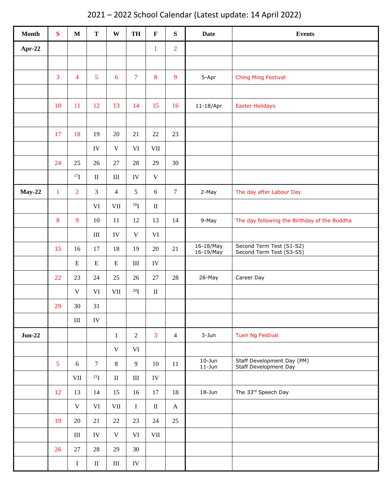## **Month S M T W TH F S Date Events Apr-22** | | | | | | | 1 | 2 3 4 5 6 7 8 9 5-Apr Ching Ming Festival 10 | 11 | 12 | 13 | 14 | 15 | 16 | 11-18/Apr | Easter Holidays 17 | 18 | 19 | 20 | 21 | 22 | 23  $IV \mid V \mid VI \mid VI$ 24 25 26 27 28 29 30  $^{17}$ I | II | III | IV | V **May-22** 1 2 3 4 5 6 7 2-May The day after Labour Day VI VII <sup>18</sup>I II  $8$  | 9 | 10 | 11 | 12 | 13 | 14 | 9-May | The day following the Birthday of the Buddha  $III$  IV V VI 15 16 17 18 19 20 21 16-18/May 16-19/May Second Term Test (S1-S2) Second Term Test (S3-S5)  $E \mid E \mid E \mid III \mid IV$ 22 23 24 25 26 27 28 28-May Career Day  $V$  VI VII  $^{20}I$  II 29 30 31 III IV **Jun-22** 1 1 1 2 3 4 3-Jun Tuen Ng Festival  $V$  VI 5 6 7 8 9 10 11 10-Jun 11-Jun Staff Development Day (PM) Staff Development Day  $VII$   $^{21}I$  II III IV 12 13 14 15 16 17 18 18-Jun The 33rd Speech Day V | VI | VII | I | I | A 19 | 20 | 21 | 22 | 23 | 24 | 25  $III$  IV V VI VII 26 27 28 29 30  $I \parallel II \parallel III \parallel IV$

## 2021 – 2022 School Calendar (Latest update: 14 April 2022)